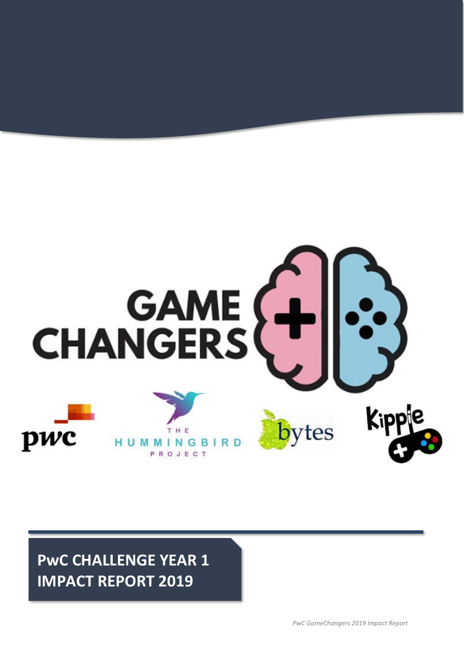

**PwC CHALLENGE YEAR 1 IMPACT REPORT 2019**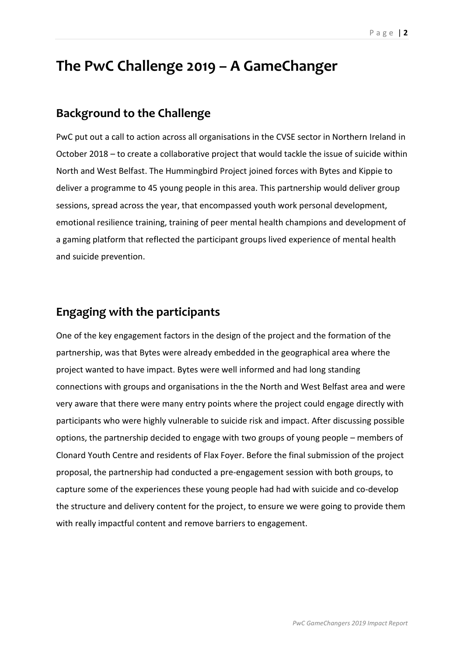# **The PwC Challenge 2019 – A GameChanger**

# **Background to the Challenge**

PwC put out a call to action across all organisations in the CVSE sector in Northern Ireland in October 2018 – to create a collaborative project that would tackle the issue of suicide within North and West Belfast. The Hummingbird Project joined forces with Bytes and Kippie to deliver a programme to 45 young people in this area. This partnership would deliver group sessions, spread across the year, that encompassed youth work personal development, emotional resilience training, training of peer mental health champions and development of a gaming platform that reflected the participant groups lived experience of mental health and suicide prevention.

## **Engaging with the participants**

One of the key engagement factors in the design of the project and the formation of the partnership, was that Bytes were already embedded in the geographical area where the project wanted to have impact. Bytes were well informed and had long standing connections with groups and organisations in the the North and West Belfast area and were very aware that there were many entry points where the project could engage directly with participants who were highly vulnerable to suicide risk and impact. After discussing possible options, the partnership decided to engage with two groups of young people – members of Clonard Youth Centre and residents of Flax Foyer. Before the final submission of the project proposal, the partnership had conducted a pre-engagement session with both groups, to capture some of the experiences these young people had had with suicide and co-develop the structure and delivery content for the project, to ensure we were going to provide them with really impactful content and remove barriers to engagement.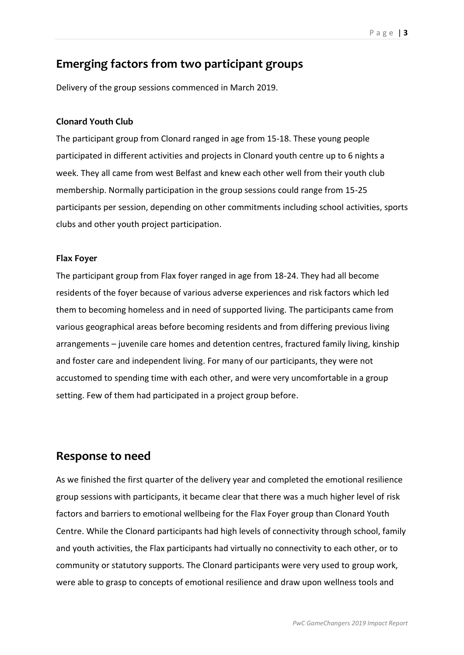# **Emerging factors from two participant groups**

Delivery of the group sessions commenced in March 2019.

### **Clonard Youth Club**

The participant group from Clonard ranged in age from 15-18. These young people participated in different activities and projects in Clonard youth centre up to 6 nights a week. They all came from west Belfast and knew each other well from their youth club membership. Normally participation in the group sessions could range from 15-25 participants per session, depending on other commitments including school activities, sports clubs and other youth project participation.

### **Flax Foyer**

The participant group from Flax foyer ranged in age from 18-24. They had all become residents of the foyer because of various adverse experiences and risk factors which led them to becoming homeless and in need of supported living. The participants came from various geographical areas before becoming residents and from differing previous living arrangements – juvenile care homes and detention centres, fractured family living, kinship and foster care and independent living. For many of our participants, they were not accustomed to spending time with each other, and were very uncomfortable in a group setting. Few of them had participated in a project group before.

### **Response to need**

As we finished the first quarter of the delivery year and completed the emotional resilience group sessions with participants, it became clear that there was a much higher level of risk factors and barriers to emotional wellbeing for the Flax Foyer group than Clonard Youth Centre. While the Clonard participants had high levels of connectivity through school, family and youth activities, the Flax participants had virtually no connectivity to each other, or to community or statutory supports. The Clonard participants were very used to group work, were able to grasp to concepts of emotional resilience and draw upon wellness tools and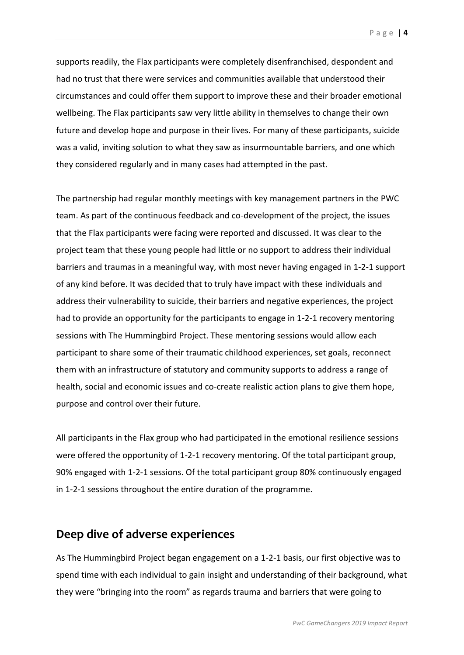supports readily, the Flax participants were completely disenfranchised, despondent and had no trust that there were services and communities available that understood their circumstances and could offer them support to improve these and their broader emotional wellbeing. The Flax participants saw very little ability in themselves to change their own future and develop hope and purpose in their lives. For many of these participants, suicide was a valid, inviting solution to what they saw as insurmountable barriers, and one which they considered regularly and in many cases had attempted in the past.

The partnership had regular monthly meetings with key management partners in the PWC team. As part of the continuous feedback and co-development of the project, the issues that the Flax participants were facing were reported and discussed. It was clear to the project team that these young people had little or no support to address their individual barriers and traumas in a meaningful way, with most never having engaged in 1-2-1 support of any kind before. It was decided that to truly have impact with these individuals and address their vulnerability to suicide, their barriers and negative experiences, the project had to provide an opportunity for the participants to engage in 1-2-1 recovery mentoring sessions with The Hummingbird Project. These mentoring sessions would allow each participant to share some of their traumatic childhood experiences, set goals, reconnect them with an infrastructure of statutory and community supports to address a range of health, social and economic issues and co-create realistic action plans to give them hope, purpose and control over their future.

All participants in the Flax group who had participated in the emotional resilience sessions were offered the opportunity of 1-2-1 recovery mentoring. Of the total participant group, 90% engaged with 1-2-1 sessions. Of the total participant group 80% continuously engaged in 1-2-1 sessions throughout the entire duration of the programme.

### **Deep dive of adverse experiences**

As The Hummingbird Project began engagement on a 1-2-1 basis, our first objective was to spend time with each individual to gain insight and understanding of their background, what they were "bringing into the room" as regards trauma and barriers that were going to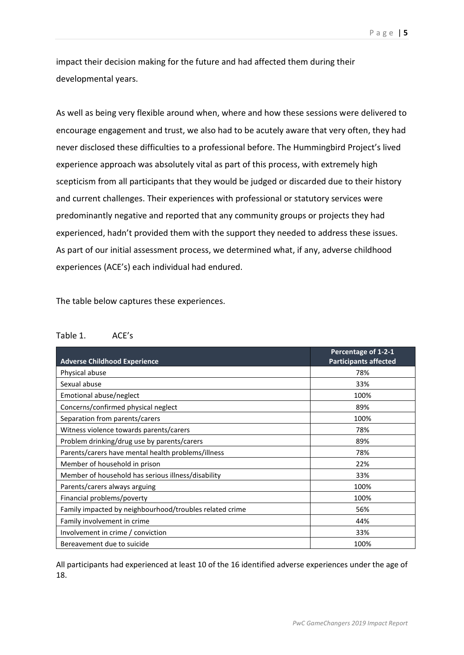impact their decision making for the future and had affected them during their developmental years.

As well as being very flexible around when, where and how these sessions were delivered to encourage engagement and trust, we also had to be acutely aware that very often, they had never disclosed these difficulties to a professional before. The Hummingbird Project's lived experience approach was absolutely vital as part of this process, with extremely high scepticism from all participants that they would be judged or discarded due to their history and current challenges. Their experiences with professional or statutory services were predominantly negative and reported that any community groups or projects they had experienced, hadn't provided them with the support they needed to address these issues. As part of our initial assessment process, we determined what, if any, adverse childhood experiences (ACE's) each individual had endured.

The table below captures these experiences.

#### Table 1. ACE's

| <b>Adverse Childhood Experience</b>                     | Percentage of 1-2-1<br><b>Participants affected</b> |
|---------------------------------------------------------|-----------------------------------------------------|
| Physical abuse                                          | 78%                                                 |
| Sexual abuse                                            | 33%                                                 |
| Emotional abuse/neglect                                 | 100%                                                |
| Concerns/confirmed physical neglect                     | 89%                                                 |
| Separation from parents/carers                          | 100%                                                |
| Witness violence towards parents/carers                 | 78%                                                 |
| Problem drinking/drug use by parents/carers             | 89%                                                 |
| Parents/carers have mental health problems/illness      | 78%                                                 |
| Member of household in prison                           | 22%                                                 |
| Member of household has serious illness/disability      | 33%                                                 |
| Parents/carers always arguing                           | 100%                                                |
| Financial problems/poverty                              | 100%                                                |
| Family impacted by neighbourhood/troubles related crime | 56%                                                 |
| Family involvement in crime                             | 44%                                                 |
| Involvement in crime / conviction                       | 33%                                                 |
| Bereavement due to suicide                              | 100%                                                |

All participants had experienced at least 10 of the 16 identified adverse experiences under the age of 18.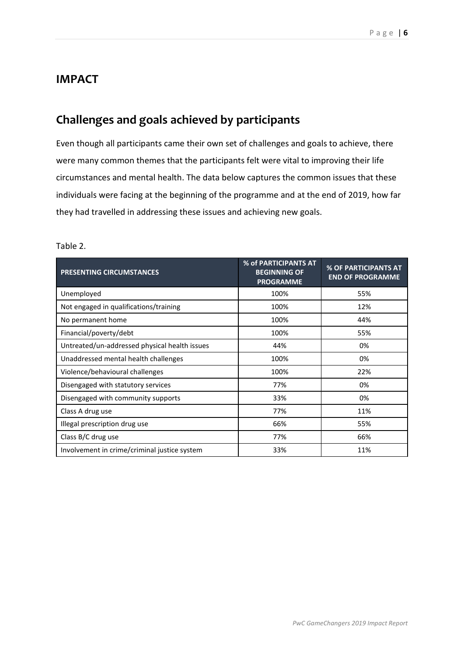## **IMPACT**

# **Challenges and goals achieved by participants**

Even though all participants came their own set of challenges and goals to achieve, there were many common themes that the participants felt were vital to improving their life circumstances and mental health. The data below captures the common issues that these individuals were facing at the beginning of the programme and at the end of 2019, how far they had travelled in addressing these issues and achieving new goals.

| <b>PRESENTING CIRCUMSTANCES</b>               | % of PARTICIPANTS AT<br><b>BEGINNING OF</b><br><b>PROGRAMME</b> | % OF PARTICIPANTS AT<br><b>END OF PROGRAMME</b> |
|-----------------------------------------------|-----------------------------------------------------------------|-------------------------------------------------|
| Unemployed                                    | 100%                                                            | 55%                                             |
| Not engaged in qualifications/training        | 100%                                                            | 12%                                             |
| No permanent home                             | 100%                                                            | 44%                                             |
| Financial/poverty/debt                        | 100%                                                            | 55%                                             |
| Untreated/un-addressed physical health issues | 44%                                                             | 0%                                              |
| Unaddressed mental health challenges          | 100%                                                            | 0%                                              |
| Violence/behavioural challenges               | 100%                                                            | 22%                                             |
| Disengaged with statutory services            | 77%                                                             | 0%                                              |
| Disengaged with community supports            | 33%                                                             | 0%                                              |
| Class A drug use                              | 77%                                                             | 11%                                             |
| Illegal prescription drug use                 | 66%                                                             | 55%                                             |
| Class B/C drug use                            | 77%                                                             | 66%                                             |
| Involvement in crime/criminal justice system  | 33%                                                             | 11%                                             |

#### Table 2.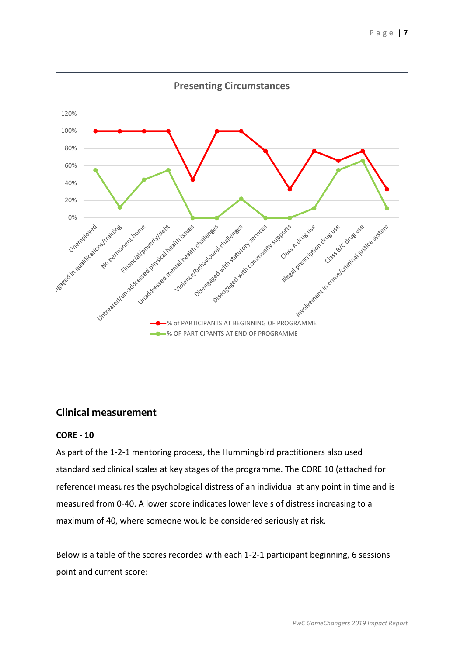

### **Clinical measurement**

### **CORE - 10**

As part of the 1-2-1 mentoring process, the Hummingbird practitioners also used standardised clinical scales at key stages of the programme. The CORE 10 (attached for reference) measures the psychological distress of an individual at any point in time and is measured from 0-40. A lower score indicates lower levels of distress increasing to a maximum of 40, where someone would be considered seriously at risk.

Below is a table of the scores recorded with each 1-2-1 participant beginning, 6 sessions point and current score: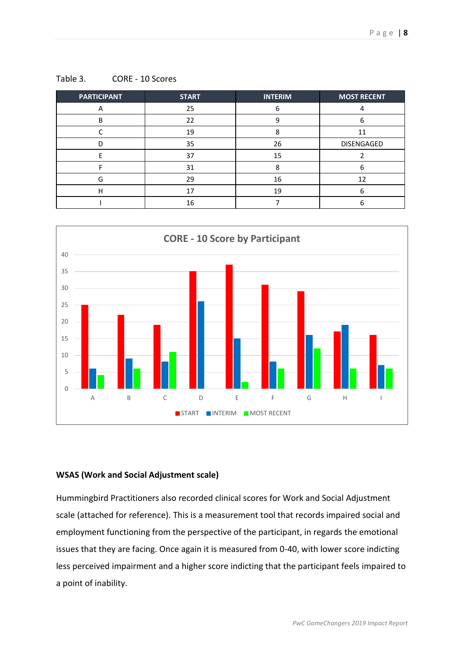| <b>PARTICIPANT</b> | <b>START</b> | <b>INTERIM</b> | <b>MOST RECENT</b> |
|--------------------|--------------|----------------|--------------------|
|                    | 25           | 6              |                    |
| B                  | 22           | q              | 6                  |
|                    | 19           | Ջ              | 11                 |
|                    | 35           | 26             | DISENGAGED         |
|                    | 37           | 15             |                    |
|                    | 31           |                |                    |
| G                  | 29           | 16             | 12                 |
| н                  |              | 19             | h                  |
|                    | 16           |                |                    |

Table 3. CORE - 10 Scores



### **WSAS (Work and Social Adjustment scale)**

Hummingbird Practitioners also recorded clinical scores for Work and Social Adjustment scale (attached for reference). This is a measurement tool that records impaired social and employment functioning from the perspective of the participant, in regards the emotional issues that they are facing. Once again it is measured from 0-40, with lower score indicting less perceived impairment and a higher score indicting that the participant feels impaired to a point of inability.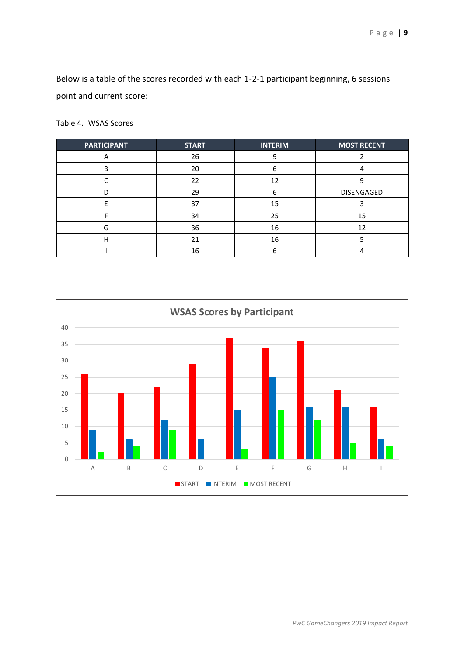Below is a table of the scores recorded with each 1-2-1 participant beginning, 6 sessions point and current score:

Table 4. WSAS Scores

| <b>PARTICIPANT</b> | <b>START</b> | <b>INTERIM</b> | <b>MOST RECENT</b> |
|--------------------|--------------|----------------|--------------------|
|                    | 26           |                |                    |
| B                  | 20           |                |                    |
|                    | 22           | 12             |                    |
|                    | 29           | n              | DISENGAGED         |
|                    | 37           | 15             |                    |
|                    | 34           | 25             | 15                 |
| G                  | 36           | 16             | 12                 |
| н                  | 21           | 16             |                    |
|                    | 16           |                |                    |

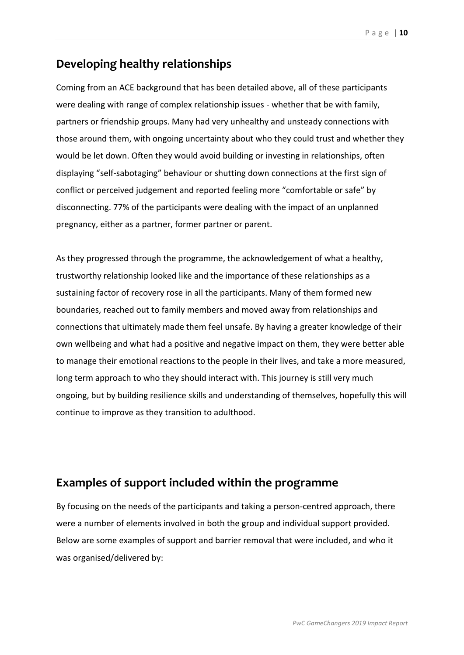# **Developing healthy relationships**

Coming from an ACE background that has been detailed above, all of these participants were dealing with range of complex relationship issues - whether that be with family, partners or friendship groups. Many had very unhealthy and unsteady connections with those around them, with ongoing uncertainty about who they could trust and whether they would be let down. Often they would avoid building or investing in relationships, often displaying "self-sabotaging" behaviour or shutting down connections at the first sign of conflict or perceived judgement and reported feeling more "comfortable or safe" by disconnecting. 77% of the participants were dealing with the impact of an unplanned pregnancy, either as a partner, former partner or parent.

As they progressed through the programme, the acknowledgement of what a healthy, trustworthy relationship looked like and the importance of these relationships as a sustaining factor of recovery rose in all the participants. Many of them formed new boundaries, reached out to family members and moved away from relationships and connections that ultimately made them feel unsafe. By having a greater knowledge of their own wellbeing and what had a positive and negative impact on them, they were better able to manage their emotional reactions to the people in their lives, and take a more measured, long term approach to who they should interact with. This journey is still very much ongoing, but by building resilience skills and understanding of themselves, hopefully this will continue to improve as they transition to adulthood.

# **Examples of support included within the programme**

By focusing on the needs of the participants and taking a person-centred approach, there were a number of elements involved in both the group and individual support provided. Below are some examples of support and barrier removal that were included, and who it was organised/delivered by: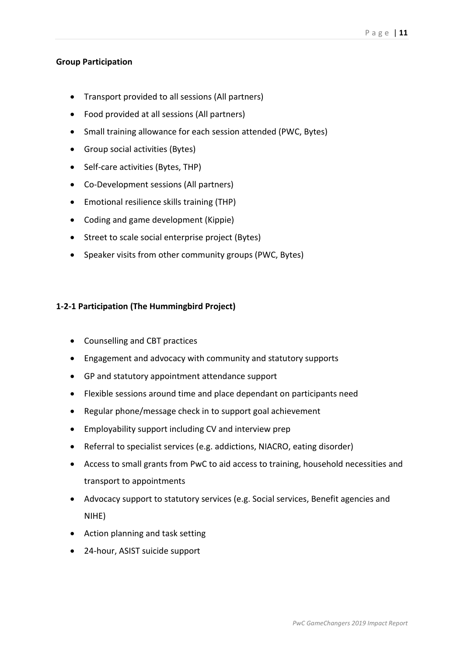### **Group Participation**

- Transport provided to all sessions (All partners)
- Food provided at all sessions (All partners)
- Small training allowance for each session attended (PWC, Bytes)
- Group social activities (Bytes)
- Self-care activities (Bytes, THP)
- Co-Development sessions (All partners)
- Emotional resilience skills training (THP)
- Coding and game development (Kippie)
- Street to scale social enterprise project (Bytes)
- Speaker visits from other community groups (PWC, Bytes)

### **1-2-1 Participation (The Hummingbird Project)**

- Counselling and CBT practices
- Engagement and advocacy with community and statutory supports
- GP and statutory appointment attendance support
- Flexible sessions around time and place dependant on participants need
- Regular phone/message check in to support goal achievement
- Employability support including CV and interview prep
- Referral to specialist services (e.g. addictions, NIACRO, eating disorder)
- Access to small grants from PwC to aid access to training, household necessities and transport to appointments
- Advocacy support to statutory services (e.g. Social services, Benefit agencies and NIHE)
- Action planning and task setting
- 24-hour, ASIST suicide support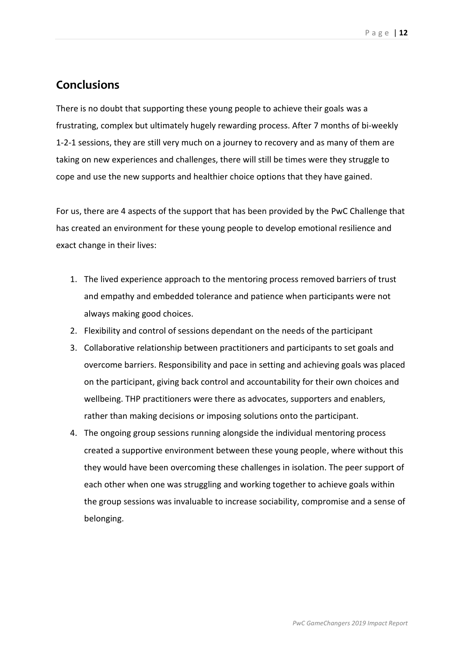### **Conclusions**

There is no doubt that supporting these young people to achieve their goals was a frustrating, complex but ultimately hugely rewarding process. After 7 months of bi-weekly 1-2-1 sessions, they are still very much on a journey to recovery and as many of them are taking on new experiences and challenges, there will still be times were they struggle to cope and use the new supports and healthier choice options that they have gained.

For us, there are 4 aspects of the support that has been provided by the PwC Challenge that has created an environment for these young people to develop emotional resilience and exact change in their lives:

- 1. The lived experience approach to the mentoring process removed barriers of trust and empathy and embedded tolerance and patience when participants were not always making good choices.
- 2. Flexibility and control of sessions dependant on the needs of the participant
- 3. Collaborative relationship between practitioners and participants to set goals and overcome barriers. Responsibility and pace in setting and achieving goals was placed on the participant, giving back control and accountability for their own choices and wellbeing. THP practitioners were there as advocates, supporters and enablers, rather than making decisions or imposing solutions onto the participant.
- 4. The ongoing group sessions running alongside the individual mentoring process created a supportive environment between these young people, where without this they would have been overcoming these challenges in isolation. The peer support of each other when one was struggling and working together to achieve goals within the group sessions was invaluable to increase sociability, compromise and a sense of belonging.